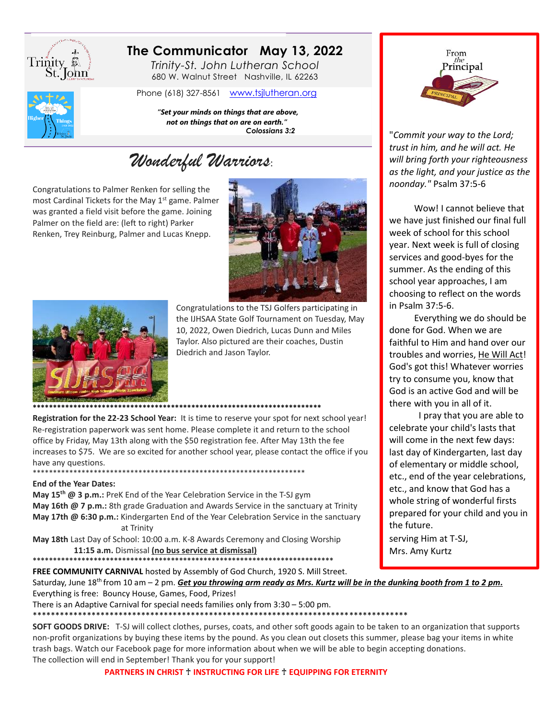

## The Communicator May 13, 2022

Trinity-St. John Lutheran School 680 W. Walnut Street Nashville, IL 62263

Phone (618) 327-8561 www.tsjlutheran.org



"Set your minds on things that are above, not on things that on are on earth." Colossians 3:2

# Wonderful Warriors:

Congratulations to Palmer Renken for selling the most Cardinal Tickets for the May 1<sup>st</sup> game. Palmer was granted a field visit before the game. Joining Palmer on the field are: (left to right) Parker Renken, Trey Reinburg, Palmer and Lucas Knepp.





Congratulations to the TSJ Golfers participating in the IJHSAA State Golf Tournament on Tuesday, May 10, 2022, Owen Diedrich, Lucas Dunn and Miles Taylor. Also pictured are their coaches, Dustin Diedrich and Jason Taylor.

Registration for the 22-23 School Year: It is time to reserve your spot for next school year! Re-registration paperwork was sent home. Please complete it and return to the school office by Friday, May 13th along with the \$50 registration fee. After May 13th the fee increases to \$75. We are so excited for another school year, please contact the office if you have any questions.

#### **End of the Year Dates:**

May 15<sup>th</sup> @ 3 p.m.: PreK End of the Year Celebration Service in the T-SJ gym May 16th @ 7 p.m.: 8th grade Graduation and Awards Service in the sanctuary at Trinity May 17th @ 6:30 p.m.: Kindergarten End of the Year Celebration Service in the sanctuary at Trinity

May 18th Last Day of School: 10:00 a.m. K-8 Awards Ceremony and Closing Worship 11:15 a.m. Dismissal (no bus service at dismissal)

FREE COMMUNITY CARNIVAL hosted by Assembly of God Church, 1920 S. Mill Street.



"Commit your way to the Lord; trust in him, and he will act. He will bring forth your righteousness as the light, and your justice as the noonday." Psalm 37:5-6

Wow! I cannot believe that we have just finished our final full week of school for this school year. Next week is full of closing services and good-byes for the summer. As the ending of this school year approaches, I am choosing to reflect on the words in Psalm 37:5-6.

Everything we do should be done for God. When we are faithful to Him and hand over our troubles and worries, He Will Act! God's got this! Whatever worries try to consume you, know that God is an active God and will be there with you in all of it.

I pray that you are able to celebrate your child's lasts that will come in the next few days: last day of Kindergarten, last day of elementary or middle school, etc., end of the year celebrations, etc., and know that God has a whole string of wonderful firsts prepared for your child and you in the future.

serving Him at T-SJ, Mrs. Amy Kurtz

Saturday, June 18<sup>th</sup> from 10 am – 2 pm. Get you throwing arm ready as Mrs. Kurtz will be in the dunking booth from 1 to 2 pm. Everything is free: Bouncy House, Games, Food, Prizes!

There is an Adaptive Carnival for special needs families only from 3:30 - 5:00 pm.

SOFT GOODS DRIVE: T-SJ will collect clothes, purses, coats, and other soft goods again to be taken to an organization that supports non-profit organizations by buying these items by the pound. As you clean out closets this summer, please bag your items in white trash bags. Watch our Facebook page for more information about when we will be able to begin accepting donations. The collection will end in September! Thank you for your support!

PARTNERS IN CHRIST + INSTRUCTING FOR LIFE + EQUIPPING FOR ETERNITY